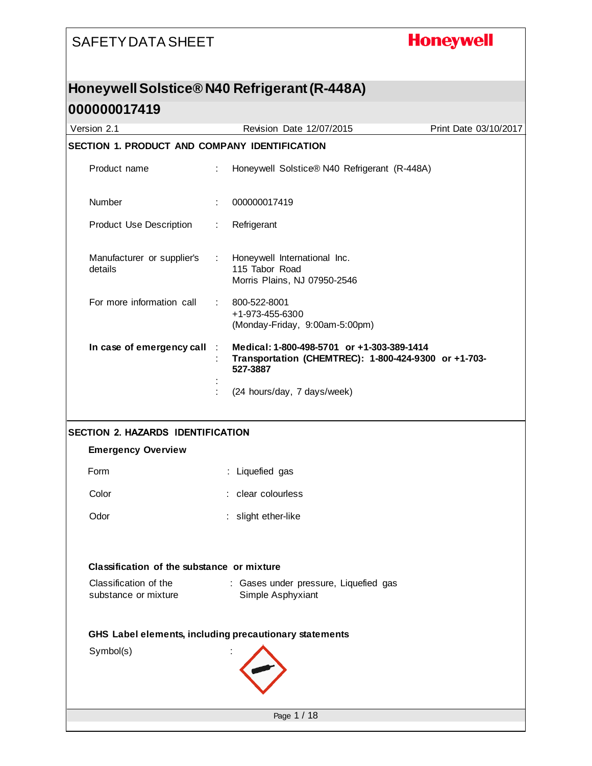# **Honeywell**

### **Honeywell Solstice® N40 Refrigerant (R-448A)**

| Version 2.1                                                           | Revision Date 12/07/2015                                                                                        | Print Date 03/10/2017 |
|-----------------------------------------------------------------------|-----------------------------------------------------------------------------------------------------------------|-----------------------|
| SECTION 1. PRODUCT AND COMPANY IDENTIFICATION                         |                                                                                                                 |                       |
| Product name                                                          | ÷.<br>Honeywell Solstice® N40 Refrigerant (R-448A)                                                              |                       |
| Number                                                                | 000000017419                                                                                                    |                       |
| <b>Product Use Description</b>                                        | Refrigerant<br>÷.                                                                                               |                       |
| Manufacturer or supplier's<br>details                                 | Honeywell International Inc.<br>$\mathcal{I}^{\mathcal{I}}$ .<br>115 Tabor Road<br>Morris Plains, NJ 07950-2546 |                       |
| For more information call                                             | 800-522-8001<br>÷<br>+1-973-455-6300<br>(Monday-Friday, 9:00am-5:00pm)                                          |                       |
| In case of emergency call                                             | Medical: 1-800-498-5701 or +1-303-389-1414<br>Transportation (CHEMTREC): 1-800-424-9300 or +1-703-<br>527-3887  |                       |
|                                                                       | (24 hours/day, 7 days/week)                                                                                     |                       |
|                                                                       |                                                                                                                 |                       |
| <b>SECTION 2. HAZARDS IDENTIFICATION</b><br><b>Emergency Overview</b> |                                                                                                                 |                       |
| Form                                                                  | : Liquefied gas                                                                                                 |                       |
| Color                                                                 | : clear colourless                                                                                              |                       |
| Odor                                                                  | : slight ether-like                                                                                             |                       |
| Classification of the substance or mixture                            |                                                                                                                 |                       |
| Classification of the<br>substance or mixture                         | : Gases under pressure, Liquefied gas<br>Simple Asphyxiant                                                      |                       |
|                                                                       | GHS Label elements, including precautionary statements                                                          |                       |
| Symbol(s)                                                             |                                                                                                                 |                       |
|                                                                       | Page 1 / 18                                                                                                     |                       |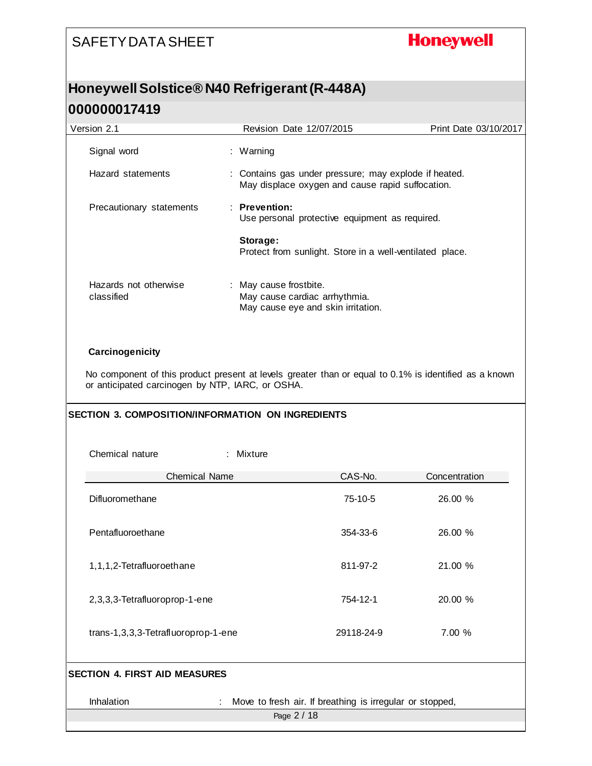# **Honeywell**

# **Honeywell Solstice® N40 Refrigerant (R-448A)**

| Version 2.1                                              | Revision Date 12/07/2015                                                                                  | Print Date 03/10/2017 |  |  |
|----------------------------------------------------------|-----------------------------------------------------------------------------------------------------------|-----------------------|--|--|
| Signal word                                              | : Warning                                                                                                 |                       |  |  |
| Hazard statements                                        | : Contains gas under pressure; may explode if heated.<br>May displace oxygen and cause rapid suffocation. |                       |  |  |
| Precautionary statements                                 | : Prevention:<br>Use personal protective equipment as required.                                           |                       |  |  |
|                                                          | Storage:<br>Protect from sunlight. Store in a well-ventilated place.                                      |                       |  |  |
| Hazards not otherwise<br>classified                      | : May cause frostbite.<br>May cause cardiac arrhythmia.<br>May cause eye and skin irritation.             |                       |  |  |
| Carcinogenicity                                          |                                                                                                           |                       |  |  |
| or anticipated carcinogen by NTP, IARC, or OSHA.         | No component of this product present at levels greater than or equal to 0.1% is identified as a known     |                       |  |  |
| <b>SECTION 3. COMPOSITION/INFORMATION ON INGREDIENTS</b> |                                                                                                           |                       |  |  |
| Chemical nature<br>Mixture                               |                                                                                                           |                       |  |  |
| <b>Chemical Name</b>                                     | CAS-No.                                                                                                   | Concentration         |  |  |
| Difluoromethane                                          | 75-10-5                                                                                                   | 26.00 %               |  |  |
| Pentafluoroethane                                        | 354-33-6                                                                                                  | 26.00 %               |  |  |
| 1,1,1,2-Tetrafluoroethane                                | 811-97-2                                                                                                  | 21.00 %               |  |  |
| 2,3,3,3-Tetrafluoroprop-1-ene                            | 754-12-1                                                                                                  | 20.00 %               |  |  |
| trans-1,3,3,3-Tetrafluoroprop-1-ene                      | 29118-24-9                                                                                                | 7.00 %                |  |  |
| <b>SECTION 4. FIRST AID MEASURES</b>                     |                                                                                                           |                       |  |  |
| Inhalation                                               | Move to fresh air. If breathing is irregular or stopped,                                                  |                       |  |  |
|                                                          | Page 2 / 18                                                                                               |                       |  |  |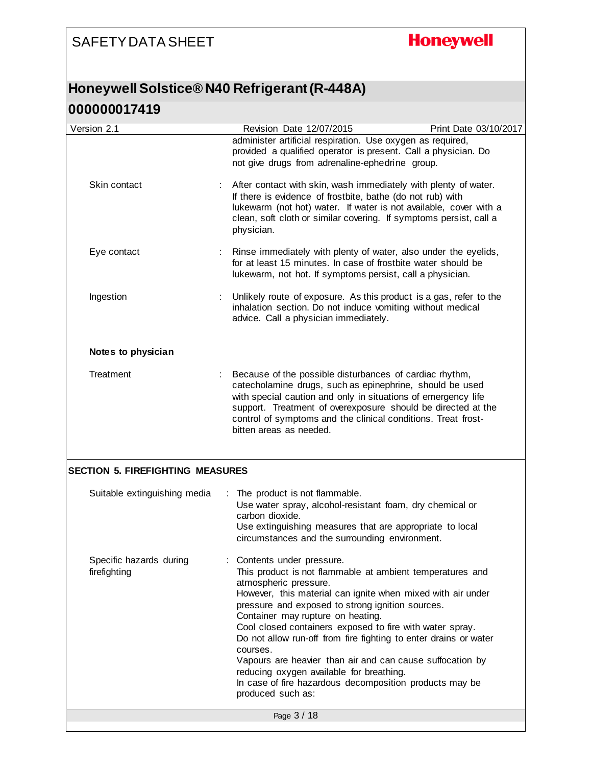# **Honeywell**

### **Honeywell Solstice® N40 Refrigerant (R-448A)**

| Version 2.1                             | Revision Date 12/07/2015                                                                                                                                                                                                                                                                                                                                                                                                                                                                                                                                                                                    | Print Date 03/10/2017 |
|-----------------------------------------|-------------------------------------------------------------------------------------------------------------------------------------------------------------------------------------------------------------------------------------------------------------------------------------------------------------------------------------------------------------------------------------------------------------------------------------------------------------------------------------------------------------------------------------------------------------------------------------------------------------|-----------------------|
|                                         | administer artificial respiration. Use oxygen as required,<br>provided a qualified operator is present. Call a physician. Do<br>not give drugs from adrenaline-ephedrine group.                                                                                                                                                                                                                                                                                                                                                                                                                             |                       |
| Skin contact                            | After contact with skin, wash immediately with plenty of water.<br>If there is evidence of frostbite, bathe (do not rub) with<br>lukewarm (not hot) water. If water is not available, cover with a<br>clean, soft cloth or similar covering. If symptoms persist, call a<br>physician.                                                                                                                                                                                                                                                                                                                      |                       |
| Eye contact                             | Rinse immediately with plenty of water, also under the eyelids,<br>for at least 15 minutes. In case of frostbite water should be<br>lukewarm, not hot. If symptoms persist, call a physician.                                                                                                                                                                                                                                                                                                                                                                                                               |                       |
| Ingestion                               | Unlikely route of exposure. As this product is a gas, refer to the<br>inhalation section. Do not induce vomiting without medical<br>advice. Call a physician immediately.                                                                                                                                                                                                                                                                                                                                                                                                                                   |                       |
| Notes to physician                      |                                                                                                                                                                                                                                                                                                                                                                                                                                                                                                                                                                                                             |                       |
| Treatment                               | Because of the possible disturbances of cardiac rhythm,<br>catecholamine drugs, such as epinephrine, should be used<br>with special caution and only in situations of emergency life<br>support. Treatment of overexposure should be directed at the<br>control of symptoms and the clinical conditions. Treat frost-<br>bitten areas as needed.                                                                                                                                                                                                                                                            |                       |
| <b>SECTION 5. FIREFIGHTING MEASURES</b> |                                                                                                                                                                                                                                                                                                                                                                                                                                                                                                                                                                                                             |                       |
| Suitable extinguishing media            | The product is not flammable.<br>Use water spray, alcohol-resistant foam, dry chemical or<br>carbon dioxide.<br>Use extinguishing measures that are appropriate to local<br>circumstances and the surrounding environment.                                                                                                                                                                                                                                                                                                                                                                                  |                       |
| Specific hazards during<br>firefighting | Contents under pressure.<br>This product is not flammable at ambient temperatures and<br>atmospheric pressure.<br>However, this material can ignite when mixed with air under<br>pressure and exposed to strong ignition sources.<br>Container may rupture on heating.<br>Cool closed containers exposed to fire with water spray.<br>Do not allow run-off from fire fighting to enter drains or water<br>courses.<br>Vapours are heavier than air and can cause suffocation by<br>reducing oxygen available for breathing.<br>In case of fire hazardous decomposition products may be<br>produced such as: |                       |
|                                         | Page 3 / 18                                                                                                                                                                                                                                                                                                                                                                                                                                                                                                                                                                                                 |                       |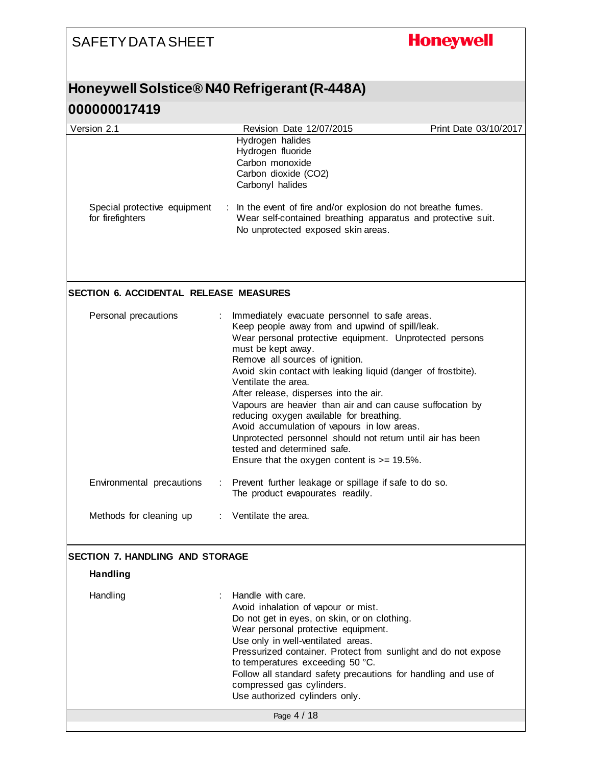# **Honeywell**

# **Honeywell Solstice® N40 Refrigerant (R-448A)**

| Version 2.1                                      | Revision Date 12/07/2015                                                                                                                                                                                                                                                                                                                                                                                                                                                                                                                                                                                                                                       | Print Date 03/10/2017 |
|--------------------------------------------------|----------------------------------------------------------------------------------------------------------------------------------------------------------------------------------------------------------------------------------------------------------------------------------------------------------------------------------------------------------------------------------------------------------------------------------------------------------------------------------------------------------------------------------------------------------------------------------------------------------------------------------------------------------------|-----------------------|
|                                                  | Hydrogen halides<br>Hydrogen fluoride<br>Carbon monoxide<br>Carbon dioxide (CO2)<br>Carbonyl halides                                                                                                                                                                                                                                                                                                                                                                                                                                                                                                                                                           |                       |
| Special protective equipment<br>for firefighters | : In the event of fire and/or explosion do not breathe fumes.<br>Wear self-contained breathing apparatus and protective suit.<br>No unprotected exposed skin areas.                                                                                                                                                                                                                                                                                                                                                                                                                                                                                            |                       |
| <b>SECTION 6. ACCIDENTAL RELEASE MEASURES</b>    |                                                                                                                                                                                                                                                                                                                                                                                                                                                                                                                                                                                                                                                                |                       |
| Personal precautions<br>÷                        | Immediately evacuate personnel to safe areas.<br>Keep people away from and upwind of spill/leak.<br>Wear personal protective equipment. Unprotected persons<br>must be kept away.<br>Remove all sources of ignition.<br>Avoid skin contact with leaking liquid (danger of frostbite).<br>Ventilate the area.<br>After release, disperses into the air.<br>Vapours are heavier than air and can cause suffocation by<br>reducing oxygen available for breathing.<br>Avoid accumulation of vapours in low areas.<br>Unprotected personnel should not return until air has been<br>tested and determined safe.<br>Ensure that the oxygen content is $>= 19.5\%$ . |                       |
| Environmental precautions<br>÷                   | Prevent further leakage or spillage if safe to do so.<br>The product evapourates readily.                                                                                                                                                                                                                                                                                                                                                                                                                                                                                                                                                                      |                       |
| Methods for cleaning up                          | : Ventilate the area.                                                                                                                                                                                                                                                                                                                                                                                                                                                                                                                                                                                                                                          |                       |
| SECTION 7. HANDLING AND STORAGE                  |                                                                                                                                                                                                                                                                                                                                                                                                                                                                                                                                                                                                                                                                |                       |
| <b>Handling</b>                                  |                                                                                                                                                                                                                                                                                                                                                                                                                                                                                                                                                                                                                                                                |                       |
| Handling                                         | Handle with care.<br>Avoid inhalation of vapour or mist.<br>Do not get in eyes, on skin, or on clothing.<br>Wear personal protective equipment.<br>Use only in well-ventilated areas.<br>Pressurized container. Protect from sunlight and do not expose<br>to temperatures exceeding 50 °C.<br>Follow all standard safety precautions for handling and use of<br>compressed gas cylinders.<br>Use authorized cylinders only.                                                                                                                                                                                                                                   |                       |
|                                                  | Page 4 / 18                                                                                                                                                                                                                                                                                                                                                                                                                                                                                                                                                                                                                                                    |                       |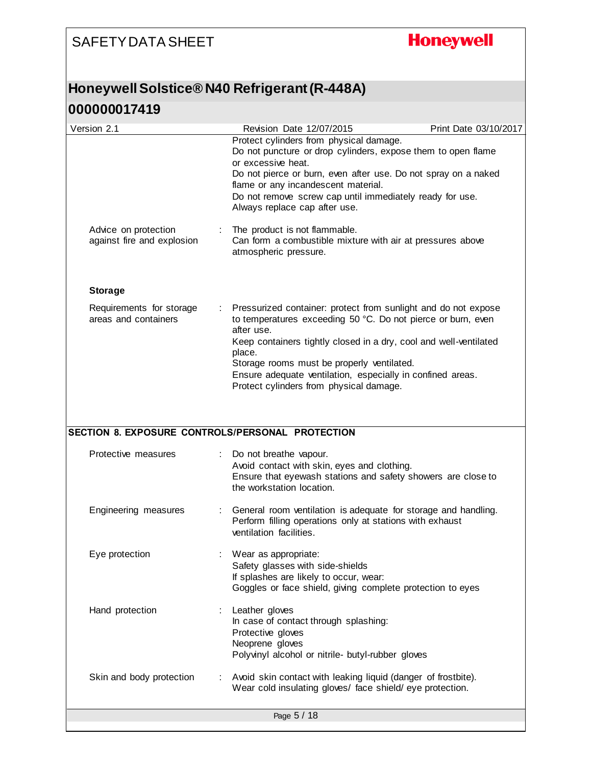# **Honeywell**

### **Honeywell Solstice® N40 Refrigerant (R-448A)**

| Version 2.1                                        | Revision Date 12/07/2015                                                                                                                                                                                                                                                                                                                                                           | Print Date 03/10/2017 |
|----------------------------------------------------|------------------------------------------------------------------------------------------------------------------------------------------------------------------------------------------------------------------------------------------------------------------------------------------------------------------------------------------------------------------------------------|-----------------------|
|                                                    | Protect cylinders from physical damage.<br>Do not puncture or drop cylinders, expose them to open flame<br>or excessive heat.<br>Do not pierce or burn, even after use. Do not spray on a naked<br>flame or any incandescent material.<br>Do not remove screw cap until immediately ready for use.<br>Always replace cap after use.                                                |                       |
| Advice on protection<br>against fire and explosion | The product is not flammable.<br>Can form a combustible mixture with air at pressures above<br>atmospheric pressure.                                                                                                                                                                                                                                                               |                       |
| <b>Storage</b>                                     |                                                                                                                                                                                                                                                                                                                                                                                    |                       |
| Requirements for storage<br>areas and containers   | Pressurized container: protect from sunlight and do not expose<br>to temperatures exceeding 50 °C. Do not pierce or burn, even<br>after use.<br>Keep containers tightly closed in a dry, cool and well-ventilated<br>place.<br>Storage rooms must be properly ventilated.<br>Ensure adequate ventilation, especially in confined areas.<br>Protect cylinders from physical damage. |                       |
| SECTION 8. EXPOSURE CONTROLS/PERSONAL PROTECTION   |                                                                                                                                                                                                                                                                                                                                                                                    |                       |
| Protective measures                                | Do not breathe vapour.                                                                                                                                                                                                                                                                                                                                                             |                       |
|                                                    | Avoid contact with skin, eyes and clothing.<br>Ensure that eyewash stations and safety showers are close to<br>the workstation location.                                                                                                                                                                                                                                           |                       |
| Engineering measures                               | General room ventilation is adequate for storage and handling.<br>Perform filling operations only at stations with exhaust<br>ventilation facilities.                                                                                                                                                                                                                              |                       |
| Eye protection                                     | Wear as appropriate:<br>Safety glasses with side-shields<br>If splashes are likely to occur, wear:<br>Goggles or face shield, giving complete protection to eyes                                                                                                                                                                                                                   |                       |
| Hand protection                                    | Leather gloves<br>In case of contact through splashing:<br>Protective gloves<br>Neoprene gloves<br>Polyvinyl alcohol or nitrile- butyl-rubber gloves                                                                                                                                                                                                                               |                       |
| Skin and body protection                           | Avoid skin contact with leaking liquid (danger of frostbite).<br>Wear cold insulating gloves/ face shield/ eye protection.                                                                                                                                                                                                                                                         |                       |
|                                                    | Page 5 / 18                                                                                                                                                                                                                                                                                                                                                                        |                       |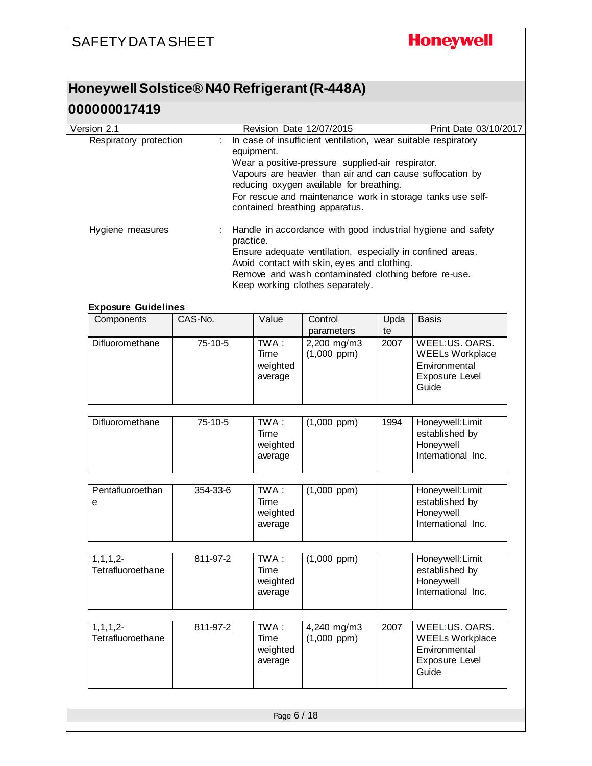# **Honeywell**

### **Honeywell Solstice® N40 Refrigerant (R-448A)**

| Version 2.1                              |                                                                                                                                                                                                       |                                                                                                                                   | Revision Date 12/07/2015                                                                                                                                                                              |            | Print Date 03/10/2017                                                                |  |
|------------------------------------------|-------------------------------------------------------------------------------------------------------------------------------------------------------------------------------------------------------|-----------------------------------------------------------------------------------------------------------------------------------|-------------------------------------------------------------------------------------------------------------------------------------------------------------------------------------------------------|------------|--------------------------------------------------------------------------------------|--|
| Respiratory protection                   | ÷.                                                                                                                                                                                                    | In case of insufficient ventilation, wear suitable respiratory<br>equipment.<br>Wear a positive-pressure supplied-air respirator. |                                                                                                                                                                                                       |            |                                                                                      |  |
|                                          | Vapours are heavier than air and can cause suffocation by<br>reducing oxygen available for breathing.<br>For rescue and maintenance work in storage tanks use self-<br>contained breathing apparatus. |                                                                                                                                   |                                                                                                                                                                                                       |            |                                                                                      |  |
| Hygiene measures                         | practice.                                                                                                                                                                                             |                                                                                                                                   | Ensure adequate ventilation, especially in confined areas.<br>Avoid contact with skin, eyes and clothing.<br>Remove and wash contaminated clothing before re-use.<br>Keep working clothes separately. |            | Handle in accordance with good industrial hygiene and safety                         |  |
| <b>Exposure Guidelines</b><br>Components | CAS-No.                                                                                                                                                                                               | Value                                                                                                                             | Control                                                                                                                                                                                               | Upda       | <b>Basis</b>                                                                         |  |
| Difluoromethane                          | 75-10-5                                                                                                                                                                                               | TWA:<br>Time<br>weighted<br>average                                                                                               | parameters<br>2,200 mg/m3<br>$(1,000$ ppm $)$                                                                                                                                                         | te<br>2007 | WEEL:US. OARS.<br><b>WEELs Workplace</b><br>Environmental<br>Exposure Level<br>Guide |  |
| Difluoromethane                          | 75-10-5                                                                                                                                                                                               | $TWA$ :<br>Time<br>weighted<br>average                                                                                            | $(1,000$ ppm $)$                                                                                                                                                                                      | 1994       | Honeywell: Limit<br>established by<br>Honeywell<br>International Inc.                |  |
| Pentafluoroethan<br>e                    | 354-33-6                                                                                                                                                                                              | TWA:<br>Time<br>weighted<br>average                                                                                               | $(1,000$ ppm $)$                                                                                                                                                                                      |            | Honeywell: Limit<br>established by<br>Honeywell<br>International Inc.                |  |
| $1, 1, 1, 2-$<br>Tetrafluoroethane       | 811-97-2                                                                                                                                                                                              | TWA:<br>Time<br>weighted<br>average                                                                                               | $(1,000$ ppm $)$                                                                                                                                                                                      |            | Honeywell: Limit<br>established by<br>Honeywell<br>International Inc.                |  |
| $1, 1, 1, 2-$<br>Tetrafluoroethane       | 811-97-2                                                                                                                                                                                              | TWA:<br>Time<br>weighted<br>average                                                                                               | 4,240 mg/m3<br>$(1,000$ ppm $)$                                                                                                                                                                       | 2007       | WEEL:US. OARS.<br><b>WEELs Workplace</b><br>Environmental<br>Exposure Level<br>Guide |  |
|                                          |                                                                                                                                                                                                       |                                                                                                                                   |                                                                                                                                                                                                       |            |                                                                                      |  |
|                                          |                                                                                                                                                                                                       | Page 6 / 18                                                                                                                       |                                                                                                                                                                                                       |            |                                                                                      |  |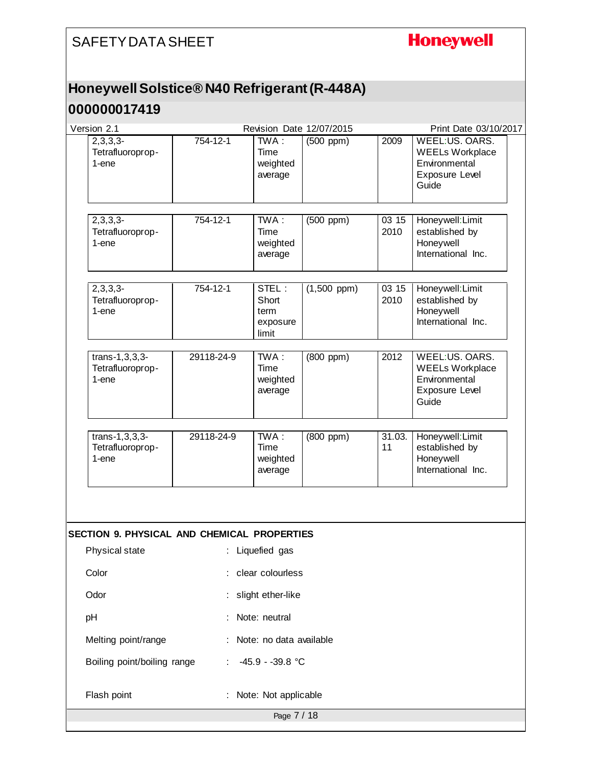### **Honeywell**

### **Honeywell Solstice® N40 Refrigerant (R-448A)**

| Version 2.1                                        |                   |                                             | Revision Date 12/07/2015 |               | Print Date 03/10/2017                                                                |
|----------------------------------------------------|-------------------|---------------------------------------------|--------------------------|---------------|--------------------------------------------------------------------------------------|
| $2,3,3,3-$<br>Tetrafluoroprop-<br>1-ene            | 754-12-1          | TWA:<br>Time<br>weighted<br>average         | $(500$ ppm $)$           | 2009          | WEEL:US. OARS.<br><b>WEELs Workplace</b><br>Environmental<br>Exposure Level<br>Guide |
| $2,3,3,3-$<br>Tetrafluoroprop-<br>1-ene            | 754-12-1          | TWA:<br>Time<br>weighted<br>average         | $(500$ ppm $)$           | 03 15<br>2010 | Honeywell: Limit<br>established by<br>Honeywell<br>International Inc.                |
| $2,3,3,3-$<br>Tetrafluoroprop-<br>1-ene            | 754-12-1          | STEL:<br>Short<br>term<br>exposure<br>limit | $(1,500$ ppm)            | 03 15<br>2010 | Honeywell: Limit<br>established by<br>Honeywell<br>International Inc.                |
| $trans-1, 3, 3, 3-$<br>Tetrafluoroprop-<br>1-ene   | 29118-24-9        | TWA:<br>Time<br>weighted<br>average         | (800 ppm)                | 2012          | WEEL:US. OARS.<br><b>WEELs Workplace</b><br>Environmental<br>Exposure Level<br>Guide |
| $trans-1, 3, 3, 3-$<br>Tetrafluoroprop-<br>1-ene   | 29118-24-9        | TWA:<br>Time<br>weighted<br>average         | (800 ppm)                | 31.03.<br>11  | Honeywell: Limit<br>established by<br>Honeywell<br>International Inc.                |
|                                                    |                   |                                             |                          |               |                                                                                      |
| <b>SECTION 9. PHYSICAL AND CHEMICAL PROPERTIES</b> |                   |                                             |                          |               |                                                                                      |
| Physical state                                     |                   | : Liquefied gas                             |                          |               |                                                                                      |
| Color                                              |                   | clear colourless                            |                          |               |                                                                                      |
| Odor                                               | slight ether-like |                                             |                          |               |                                                                                      |
| pH                                                 | Note: neutral     |                                             |                          |               |                                                                                      |
| Melting point/range                                |                   | Note: no data available                     |                          |               |                                                                                      |
| Boiling point/boiling range                        |                   | -45.9 - -39.8 °C                            |                          |               |                                                                                      |
| Flash point                                        |                   | Note: Not applicable                        |                          |               |                                                                                      |
|                                                    |                   | Page 7 / 18                                 |                          |               |                                                                                      |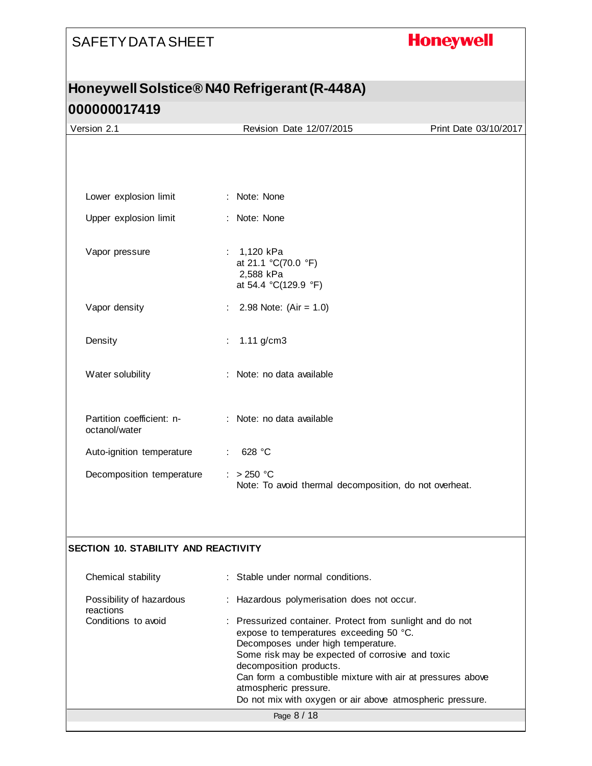# **Honeywell**

### **Honeywell Solstice® N40 Refrigerant (R-448A) 000000017419**

| Version 2.1                                 | Revision Date 12/07/2015                                                                                                                                                                                                                                                                                                                                                      | Print Date 03/10/2017 |
|---------------------------------------------|-------------------------------------------------------------------------------------------------------------------------------------------------------------------------------------------------------------------------------------------------------------------------------------------------------------------------------------------------------------------------------|-----------------------|
|                                             |                                                                                                                                                                                                                                                                                                                                                                               |                       |
|                                             |                                                                                                                                                                                                                                                                                                                                                                               |                       |
| Lower explosion limit                       | : Note: None                                                                                                                                                                                                                                                                                                                                                                  |                       |
| Upper explosion limit                       | : Note: None                                                                                                                                                                                                                                                                                                                                                                  |                       |
| Vapor pressure                              | 1,120 kPa<br>at 21.1 °C(70.0 °F)<br>2,588 kPa<br>at 54.4 °C(129.9 °F)                                                                                                                                                                                                                                                                                                         |                       |
| Vapor density                               | 2.98 Note: $(Air = 1.0)$                                                                                                                                                                                                                                                                                                                                                      |                       |
| Density                                     | $1.11$ g/cm3<br>÷                                                                                                                                                                                                                                                                                                                                                             |                       |
| Water solubility                            | : Note: no data available                                                                                                                                                                                                                                                                                                                                                     |                       |
| Partition coefficient: n-<br>octanol/water  | : Note: no data available                                                                                                                                                                                                                                                                                                                                                     |                       |
| Auto-ignition temperature                   | 628 °C                                                                                                                                                                                                                                                                                                                                                                        |                       |
| Decomposition temperature                   | $: > 250$ °C<br>Note: To avoid thermal decomposition, do not overheat.                                                                                                                                                                                                                                                                                                        |                       |
|                                             |                                                                                                                                                                                                                                                                                                                                                                               |                       |
|                                             |                                                                                                                                                                                                                                                                                                                                                                               |                       |
| <b>SECTION 10. STABILITY AND REACTIVITY</b> |                                                                                                                                                                                                                                                                                                                                                                               |                       |
| Chemical stability                          | Stable under normal conditions.                                                                                                                                                                                                                                                                                                                                               |                       |
| Possibility of hazardous<br>reactions       | : Hazardous polymerisation does not occur.                                                                                                                                                                                                                                                                                                                                    |                       |
| Conditions to avoid                         | : Pressurized container. Protect from sunlight and do not<br>expose to temperatures exceeding 50 °C.<br>Decomposes under high temperature.<br>Some risk may be expected of corrosive and toxic<br>decomposition products.<br>Can form a combustible mixture with air at pressures above<br>atmospheric pressure.<br>Do not mix with oxygen or air above atmospheric pressure. |                       |
|                                             | Page 8 / 18                                                                                                                                                                                                                                                                                                                                                                   |                       |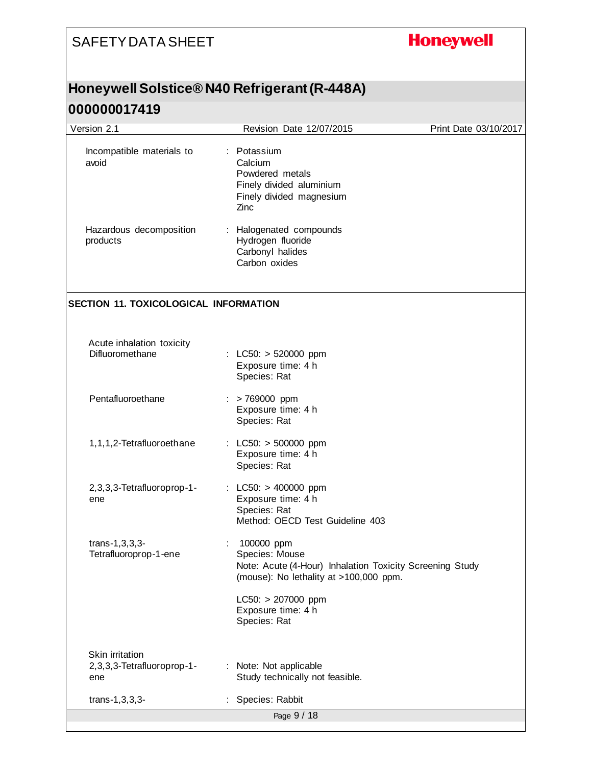# **Honeywell**

### **Honeywell Solstice® N40 Refrigerant (R-448A)**

| Version 2.1                                          | Revision Date 12/07/2015                                                                                                                                                                         | Print Date 03/10/2017 |
|------------------------------------------------------|--------------------------------------------------------------------------------------------------------------------------------------------------------------------------------------------------|-----------------------|
| Incompatible materials to<br>avoid                   | : Potassium<br>Calcium<br>Powdered metals<br>Finely divided aluminium<br>Finely divided magnesium<br>Zinc                                                                                        |                       |
| Hazardous decomposition<br>products                  | Halogenated compounds<br>Hydrogen fluoride<br>Carbonyl halides<br>Carbon oxides                                                                                                                  |                       |
| SECTION 11. TOXICOLOGICAL INFORMATION                |                                                                                                                                                                                                  |                       |
| Acute inhalation toxicity<br>Difluoromethane         | : LC50: $> 520000$ ppm<br>Exposure time: 4 h<br>Species: Rat                                                                                                                                     |                       |
| Pentafluoroethane                                    | $:$ > 769000 ppm<br>Exposure time: 4 h<br>Species: Rat                                                                                                                                           |                       |
| 1,1,1,2-Tetrafluoroethane                            | : $LC50: > 500000$ ppm<br>Exposure time: 4 h<br>Species: Rat                                                                                                                                     |                       |
| 2,3,3,3-Tetrafluoroprop-1-<br>ene                    | : LC50: $> 400000$ ppm<br>Exposure time: 4 h<br>Species: Rat<br>Method: OECD Test Guideline 403                                                                                                  |                       |
| $trans-1, 3, 3, 3-$<br>Tetrafluoroprop-1-ene         | 100000 ppm<br>Species: Mouse<br>Note: Acute (4-Hour) Inhalation Toxicity Screening Study<br>(mouse): No lethality at >100,000 ppm.<br>$LC50: > 207000$ ppm<br>Exposure time: 4 h<br>Species: Rat |                       |
| Skin irritation<br>2,3,3,3-Tetrafluoroprop-1-<br>ene | : Note: Not applicable<br>Study technically not feasible.                                                                                                                                        |                       |
| $trans-1, 3, 3, 3-$                                  | Species: Rabbit                                                                                                                                                                                  |                       |
|                                                      | Page 9 / 18                                                                                                                                                                                      |                       |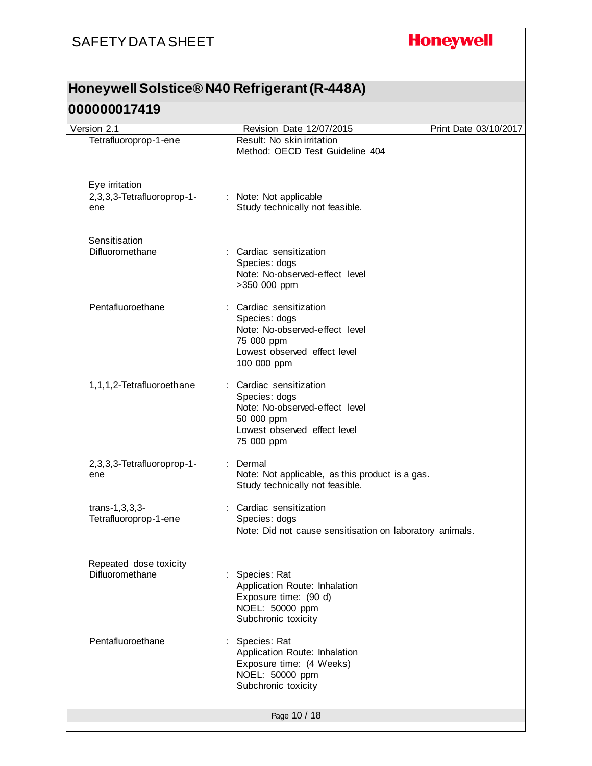# **Honeywell**

### **Honeywell Solstice® N40 Refrigerant (R-448A)**

| Version 2.1                                         | Revision Date 12/07/2015                                                                                                               | Print Date 03/10/2017 |
|-----------------------------------------------------|----------------------------------------------------------------------------------------------------------------------------------------|-----------------------|
| Tetrafluoroprop-1-ene                               | Result: No skin irritation<br>Method: OECD Test Guideline 404                                                                          |                       |
| Eye irritation<br>2,3,3,3-Tetrafluoroprop-1-<br>ene | : Note: Not applicable<br>Study technically not feasible.                                                                              |                       |
| Sensitisation<br>Difluoromethane                    | : Cardiac sensitization<br>Species: dogs<br>Note: No-observed-effect level<br>>350 000 ppm                                             |                       |
| Pentafluoroethane                                   | Cardiac sensitization<br>Species: dogs<br>Note: No-observed-effect level<br>75 000 ppm<br>Lowest observed effect level<br>100 000 ppm  |                       |
| 1,1,1,2-Tetrafluoroethane                           | : Cardiac sensitization<br>Species: dogs<br>Note: No-observed-effect level<br>50 000 ppm<br>Lowest observed effect level<br>75 000 ppm |                       |
| 2,3,3,3-Tetrafluoroprop-1-<br>ene                   | Dermal<br>Note: Not applicable, as this product is a gas.<br>Study technically not feasible.                                           |                       |
| $trans-1, 3, 3, 3-$<br>Tetrafluoroprop-1-ene        | : Cardiac sensitization<br>Species: dogs<br>Note: Did not cause sensitisation on laboratory animals.                                   |                       |
| Repeated dose toxicity<br>Difluoromethane           | Species: Rat<br>Application Route: Inhalation<br>Exposure time: (90 d)<br>NOEL: 50000 ppm<br>Subchronic toxicity                       |                       |
| Pentafluoroethane                                   | : Species: Rat<br>Application Route: Inhalation<br>Exposure time: (4 Weeks)<br>NOEL: 50000 ppm<br>Subchronic toxicity                  |                       |
|                                                     | Page 10 / 18                                                                                                                           |                       |
|                                                     |                                                                                                                                        |                       |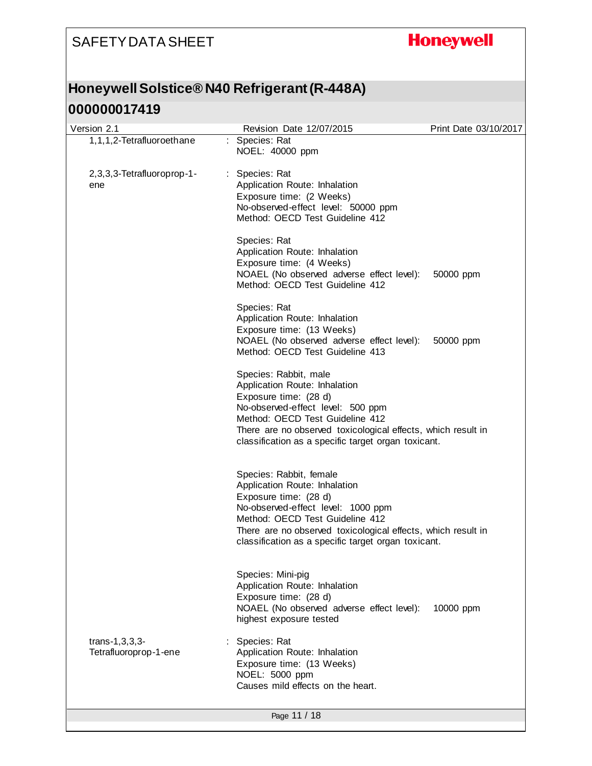# **Honeywell**

### **Honeywell Solstice® N40 Refrigerant (R-448A)**

| Version 2.1                                  | Revision Date 12/07/2015                                                                                                                                                                                                                                                          | Print Date 03/10/2017 |
|----------------------------------------------|-----------------------------------------------------------------------------------------------------------------------------------------------------------------------------------------------------------------------------------------------------------------------------------|-----------------------|
| 1,1,1,2-Tetrafluoroethane                    | : Species: Rat<br>NOEL: 40000 ppm                                                                                                                                                                                                                                                 |                       |
| 2,3,3,3-Tetrafluoroprop-1-<br>ene            | : Species: Rat<br>Application Route: Inhalation<br>Exposure time: (2 Weeks)<br>No-observed-effect level: 50000 ppm<br>Method: OECD Test Guideline 412                                                                                                                             |                       |
|                                              | Species: Rat<br>Application Route: Inhalation<br>Exposure time: (4 Weeks)<br>NOAEL (No observed adverse effect level):<br>Method: OECD Test Guideline 412                                                                                                                         | 50000 ppm             |
|                                              | Species: Rat<br>Application Route: Inhalation<br>Exposure time: (13 Weeks)<br>NOAEL (No observed adverse effect level):<br>Method: OECD Test Guideline 413                                                                                                                        | 50000 ppm             |
|                                              | Species: Rabbit, male<br>Application Route: Inhalation<br>Exposure time: (28 d)<br>No-observed-effect level: 500 ppm<br>Method: OECD Test Guideline 412<br>There are no observed toxicological effects, which result in<br>classification as a specific target organ toxicant.    |                       |
|                                              | Species: Rabbit, female<br>Application Route: Inhalation<br>Exposure time: (28 d)<br>No-observed-effect level: 1000 ppm<br>Method: OECD Test Guideline 412<br>There are no observed toxicological effects, which result in<br>classification as a specific target organ toxicant. |                       |
|                                              | Species: Mini-pig<br>Application Route: Inhalation<br>Exposure time: (28 d)<br>NOAEL (No observed adverse effect level):<br>highest exposure tested                                                                                                                               | 10000 ppm             |
| $trans-1, 3, 3, 3-$<br>Tetrafluoroprop-1-ene | : Species: Rat<br>Application Route: Inhalation<br>Exposure time: (13 Weeks)<br>NOEL: 5000 ppm<br>Causes mild effects on the heart.                                                                                                                                               |                       |
|                                              | Page 11 / 18                                                                                                                                                                                                                                                                      |                       |
|                                              |                                                                                                                                                                                                                                                                                   |                       |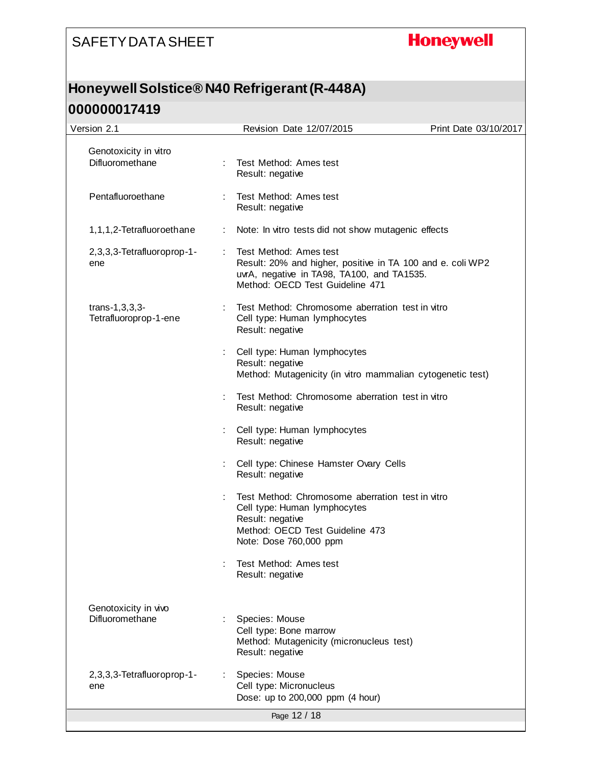# **Honeywell**

### **Honeywell Solstice® N40 Refrigerant (R-448A)**

| Version 2.1                                  | Revision Date 12/07/2015                                                                                                                                              | Print Date 03/10/2017 |
|----------------------------------------------|-----------------------------------------------------------------------------------------------------------------------------------------------------------------------|-----------------------|
| Genotoxicity in vitro<br>Difluoromethane     | : Test Method: Ames test<br>Result: negative                                                                                                                          |                       |
| Pentafluoroethane                            | Test Method: Ames test<br>Result: negative                                                                                                                            |                       |
| 1,1,1,2-Tetrafluoroethane                    | Note: In vitro tests did not show mutagenic effects                                                                                                                   |                       |
| 2,3,3,3-Tetrafluoroprop-1-<br>ene            | Test Method: Ames test<br>Result: 20% and higher, positive in TA 100 and e. coli WP2<br>uvrA, negative in TA98, TA100, and TA1535.<br>Method: OECD Test Guideline 471 |                       |
| $trans-1, 3, 3, 3-$<br>Tetrafluoroprop-1-ene | Test Method: Chromosome aberration test in vitro<br>Cell type: Human lymphocytes<br>Result: negative                                                                  |                       |
|                                              | Cell type: Human lymphocytes<br>Result: negative<br>Method: Mutagenicity (in vitro mammalian cytogenetic test)                                                        |                       |
|                                              | Test Method: Chromosome aberration test in vitro<br>Result: negative                                                                                                  |                       |
|                                              | Cell type: Human lymphocytes<br>Result: negative                                                                                                                      |                       |
|                                              | Cell type: Chinese Hamster Ovary Cells<br>Result: negative                                                                                                            |                       |
|                                              | Test Method: Chromosome aberration test in vitro<br>Cell type: Human lymphocytes<br>Result: negative<br>Method: OECD Test Guideline 473<br>Note: Dose 760,000 ppm     |                       |
|                                              | Test Method: Ames test<br>Result: negative                                                                                                                            |                       |
| Genotoxicity in vivo<br>Difluoromethane      | Species: Mouse<br>Cell type: Bone marrow<br>Method: Mutagenicity (micronucleus test)<br>Result: negative                                                              |                       |
| 2,3,3,3-Tetrafluoroprop-1-<br>ene            | Species: Mouse<br>Cell type: Micronucleus<br>Dose: up to 200,000 ppm (4 hour)                                                                                         |                       |
|                                              | Page 12 / 18                                                                                                                                                          |                       |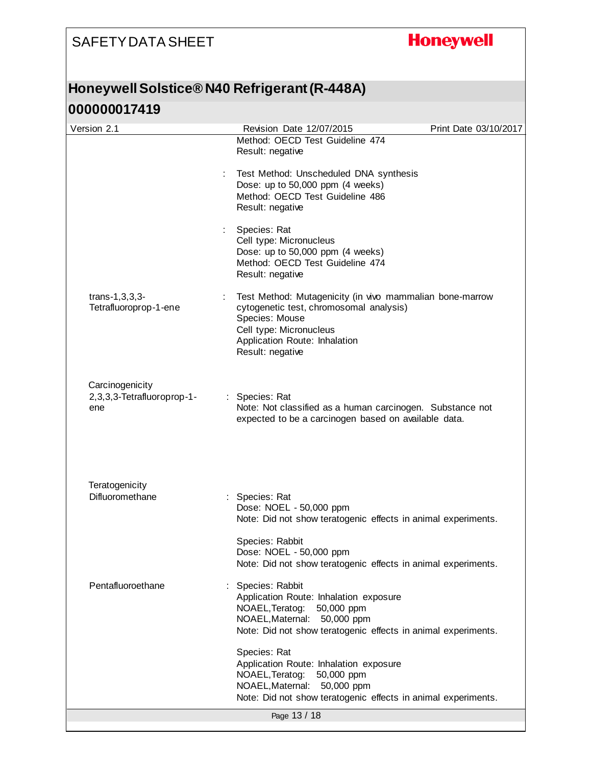# **Honeywell**

### **Honeywell Solstice® N40 Refrigerant (R-448A)**

| Version 2.1                                          | Revision Date 12/07/2015                                                                                                                                                                              | Print Date 03/10/2017 |
|------------------------------------------------------|-------------------------------------------------------------------------------------------------------------------------------------------------------------------------------------------------------|-----------------------|
|                                                      | Method: OECD Test Guideline 474<br>Result: negative                                                                                                                                                   |                       |
|                                                      | Test Method: Unscheduled DNA synthesis<br>Dose: up to 50,000 ppm (4 weeks)<br>Method: OECD Test Guideline 486<br>Result: negative                                                                     |                       |
|                                                      | Species: Rat<br>Cell type: Micronucleus<br>Dose: up to 50,000 ppm (4 weeks)<br>Method: OECD Test Guideline 474<br>Result: negative                                                                    |                       |
| $trans-1, 3, 3, 3-$<br>Tetrafluoroprop-1-ene         | Test Method: Mutagenicity (in vivo mammalian bone-marrow<br>cytogenetic test, chromosomal analysis)<br>Species: Mouse<br>Cell type: Micronucleus<br>Application Route: Inhalation<br>Result: negative |                       |
| Carcinogenicity<br>2,3,3,3-Tetrafluoroprop-1-<br>ene | : Species: Rat<br>Note: Not classified as a human carcinogen. Substance not<br>expected to be a carcinogen based on available data.                                                                   |                       |
| Teratogenicity                                       |                                                                                                                                                                                                       |                       |
| Difluoromethane                                      | : Species: Rat<br>Dose: NOEL - 50,000 ppm<br>Note: Did not show teratogenic effects in animal experiments.                                                                                            |                       |
|                                                      | Species: Rabbit<br>Dose: NOEL - 50,000 ppm<br>Note: Did not show teratogenic effects in animal experiments.                                                                                           |                       |
| Pentafluoroethane                                    | Species: Rabbit<br>Application Route: Inhalation exposure<br>NOAEL, Teratog:<br>50,000 ppm<br>NOAEL, Maternal: 50,000 ppm<br>Note: Did not show teratogenic effects in animal experiments.            |                       |
|                                                      | Species: Rat<br>Application Route: Inhalation exposure<br>NOAEL, Teratog:<br>50,000 ppm<br>NOAEL, Maternal:<br>50,000 ppm<br>Note: Did not show teratogenic effects in animal experiments.            |                       |
|                                                      | Page 13 / 18                                                                                                                                                                                          |                       |
|                                                      |                                                                                                                                                                                                       |                       |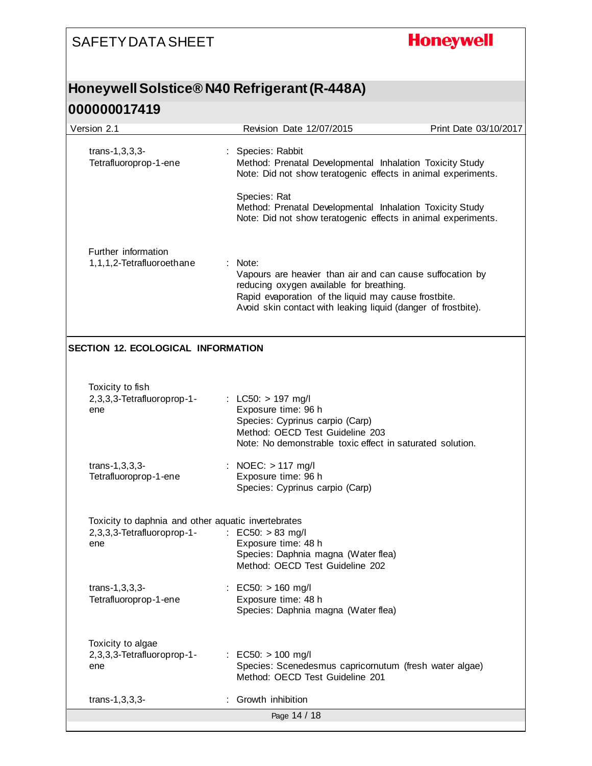#### **Honeywell** SAFETY DATA SHEET **Honeywell Solstice® N40 Refrigerant (R-448A) 000000017419** Version 2.1 Revision Date 12/07/2015 Print Date 03/10/2017 trans-1,3,3,3- : Species: Rabbit Method: Prenatal Developmental Inhalation Toxicity Study Tetrafluoroprop-1-ene Note: Did not show teratogenic effects in animal experiments. Species: Rat Method: Prenatal Developmental Inhalation Toxicity Study Note: Did not show teratogenic effects in animal experiments. Further information 1,1,1,2-Tetrafluoroethane : Note: Vapours are heavier than air and can cause suffocation by reducing oxygen available for breathing. Rapid evaporation of the liquid may cause frostbite. Avoid skin contact with leaking liquid (danger of frostbite). **SECTION 12. ECOLOGICAL INFORMATION** Toxicity to fish 2,3,3,3-Tetrafluoroprop-1- : LC50: > 197 mg/l Exposure time: 96 h ene Species: Cyprinus carpio (Carp) Method: OECD Test Guideline 203 Note: No demonstrable toxic effect in saturated solution. : NOEC: > 117 mg/l trans-1,3,3,3- Tetrafluoroprop-1-ene Exposure time: 96 h Species: Cyprinus carpio (Carp) Toxicity to daphnia and other aquatic invertebrates 2,3,3,3-Tetrafluoroprop-1- : EC50: > 83 mg/l Exposure time: 48 h ene Species: Daphnia magna (Water flea) Method: OECD Test Guideline 202 trans-1,3,3,3- : EC50: > 160 mg/l Tetrafluoroprop-1-ene Exposure time: 48 h Species: Daphnia magna (Water flea) Toxicity to algae 2,3,3,3-Tetrafluoroprop-1- : EC50: > 100 mg/l Species: Scenedesmus capricornutum (fresh water algae) ene Method: OECD Test Guideline 201 trans-1,3,3,3- : Growth inhibition

Page 14 / 18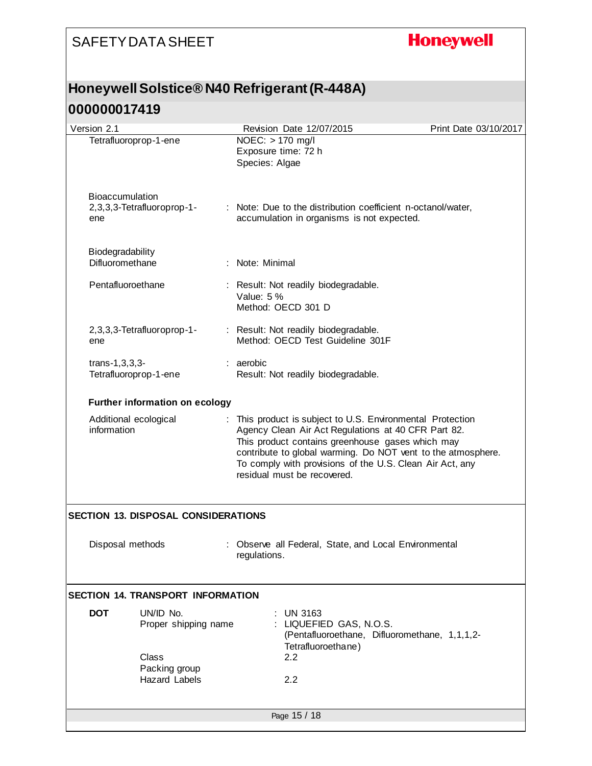# **Honeywell**

### **Honeywell Solstice® N40 Refrigerant (R-448A)**

| Version 2.1                                          | Revision Date 12/07/2015                                                                                                                                                                                                                                                                                                         | Print Date 03/10/2017 |  |  |  |  |
|------------------------------------------------------|----------------------------------------------------------------------------------------------------------------------------------------------------------------------------------------------------------------------------------------------------------------------------------------------------------------------------------|-----------------------|--|--|--|--|
| Tetrafluoroprop-1-ene                                | NOEC: > 170 mg/l<br>Exposure time: 72 h<br>Species: Algae                                                                                                                                                                                                                                                                        |                       |  |  |  |  |
| Bioaccumulation<br>2,3,3,3-Tetrafluoroprop-1-<br>ene | : Note: Due to the distribution coefficient n-octanol/water,<br>accumulation in organisms is not expected.                                                                                                                                                                                                                       |                       |  |  |  |  |
| Biodegradability<br>Difluoromethane                  | : Note: Minimal                                                                                                                                                                                                                                                                                                                  |                       |  |  |  |  |
| Pentafluoroethane                                    | Result: Not readily biodegradable.<br>Value: 5 %<br>Method: OECD 301 D                                                                                                                                                                                                                                                           |                       |  |  |  |  |
| 2,3,3,3-Tetrafluoroprop-1-<br>ene                    | : Result: Not readily biodegradable.<br>Method: OECD Test Guideline 301F                                                                                                                                                                                                                                                         |                       |  |  |  |  |
| $trans-1, 3, 3, 3-$<br>Tetrafluoroprop-1-ene         | : aerobic<br>Result: Not readily biodegradable.                                                                                                                                                                                                                                                                                  |                       |  |  |  |  |
| <b>Further information on ecology</b>                |                                                                                                                                                                                                                                                                                                                                  |                       |  |  |  |  |
| Additional ecological<br>information                 | : This product is subject to U.S. Environmental Protection<br>Agency Clean Air Act Regulations at 40 CFR Part 82.<br>This product contains greenhouse gases which may<br>contribute to global warming. Do NOT vent to the atmosphere.<br>To comply with provisions of the U.S. Clean Air Act, any<br>residual must be recovered. |                       |  |  |  |  |
| <b>SECTION 13. DISPOSAL CONSIDERATIONS</b>           |                                                                                                                                                                                                                                                                                                                                  |                       |  |  |  |  |
| Disposal methods                                     | : Observe all Federal, State, and Local Environmental<br>regulations.                                                                                                                                                                                                                                                            |                       |  |  |  |  |
| <b>SECTION 14. TRANSPORT INFORMATION</b>             |                                                                                                                                                                                                                                                                                                                                  |                       |  |  |  |  |
| <b>DOT</b><br>UN/ID No.<br>Proper shipping name      | <b>UN 3163</b><br>LIQUEFIED GAS, N.O.S.<br>(Pentafluoroethane, Difluoromethane, 1,1,1,2-<br>Tetrafluoroethane)                                                                                                                                                                                                                   |                       |  |  |  |  |
| Class<br>Packing group<br><b>Hazard Labels</b>       | $2.2\phantom{0}$<br>2.2                                                                                                                                                                                                                                                                                                          |                       |  |  |  |  |
|                                                      | Page 15 / 18                                                                                                                                                                                                                                                                                                                     |                       |  |  |  |  |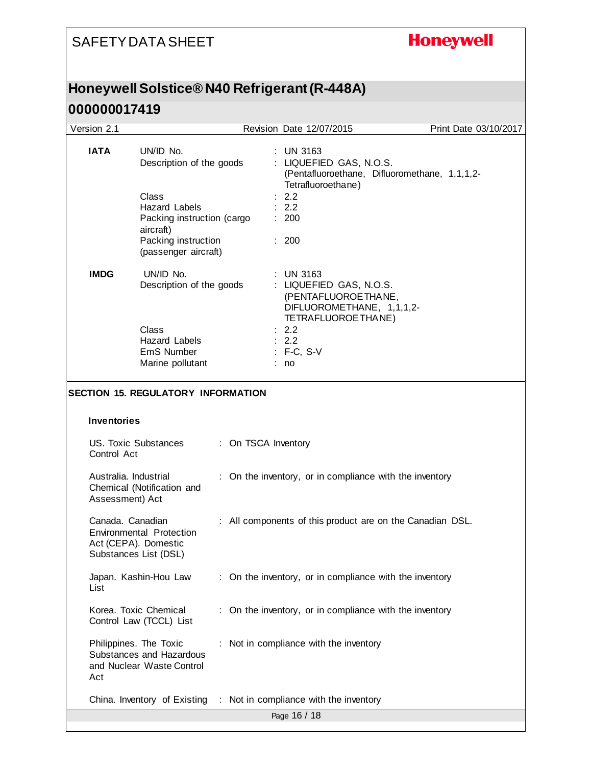# **Honeywell**

# **Honeywell Solstice® N40 Refrigerant (R-448A)**

| Version 2.1                                                          |                                                                                                                                                                  |  |                     | Revision Date 12/07/2015                                                                                                                      | Print Date 03/10/2017 |
|----------------------------------------------------------------------|------------------------------------------------------------------------------------------------------------------------------------------------------------------|--|---------------------|-----------------------------------------------------------------------------------------------------------------------------------------------|-----------------------|
| <b>IATA</b>                                                          | UN/ID No.<br>Description of the goods<br>Class<br><b>Hazard Labels</b><br>Packing instruction (cargo<br>aircraft)<br>Packing instruction<br>(passenger aircraft) |  |                     | $:$ UN 3163<br>: LIQUEFIED GAS, N.O.S.<br>(Pentafluoroethane, Difluoromethane, 1,1,1,2-<br>Tetrafluoroethane)<br>2.2<br>2.2<br>: 200<br>: 200 |                       |
| <b>IMDG</b><br>UN/ID No.<br>Description of the goods<br><b>Class</b> |                                                                                                                                                                  |  |                     | <b>UN 3163</b><br>: LIQUEFIED GAS, N.O.S.<br>(PENTAFLUOROE THANE,<br>DIFLUOROMETHANE, 1,1,1,2-<br>TETRAFLUOROETHANE)<br>2.2                   |                       |
|                                                                      | Hazard Labels<br>EmS Number                                                                                                                                      |  |                     | : 2.2<br>: F-C, S-V                                                                                                                           |                       |
|                                                                      | Marine pollutant                                                                                                                                                 |  |                     | : no                                                                                                                                          |                       |
| <b>Inventories</b><br>US. Toxic Substances<br>Control Act            | <b>SECTION 15. REGULATORY INFORMATION</b>                                                                                                                        |  | : On TSCA Inventory |                                                                                                                                               |                       |
| Australia. Industrial<br>Assessment) Act                             | Chemical (Notification and                                                                                                                                       |  |                     | : On the inventory, or in compliance with the inventory                                                                                       |                       |
| Canada. Canadian<br>Act (CEPA). Domestic<br>Substances List (DSL)    | Environmental Protection                                                                                                                                         |  |                     | : All components of this product are on the Canadian DSL.                                                                                     |                       |
| List                                                                 | Japan. Kashin-Hou Law                                                                                                                                            |  |                     | : On the inventory, or in compliance with the inventory                                                                                       |                       |
|                                                                      | Korea. Toxic Chemical<br>Control Law (TCCL) List                                                                                                                 |  |                     | : On the inventory, or in compliance with the inventory                                                                                       |                       |
| Philippines. The Toxic<br>Act                                        | Substances and Hazardous<br>and Nuclear Waste Control                                                                                                            |  |                     | : Not in compliance with the inventory                                                                                                        |                       |
|                                                                      | China. Inventory of Existing                                                                                                                                     |  |                     | : Not in compliance with the inventory                                                                                                        |                       |
|                                                                      |                                                                                                                                                                  |  |                     | Page 16 / 18                                                                                                                                  |                       |
|                                                                      |                                                                                                                                                                  |  |                     |                                                                                                                                               |                       |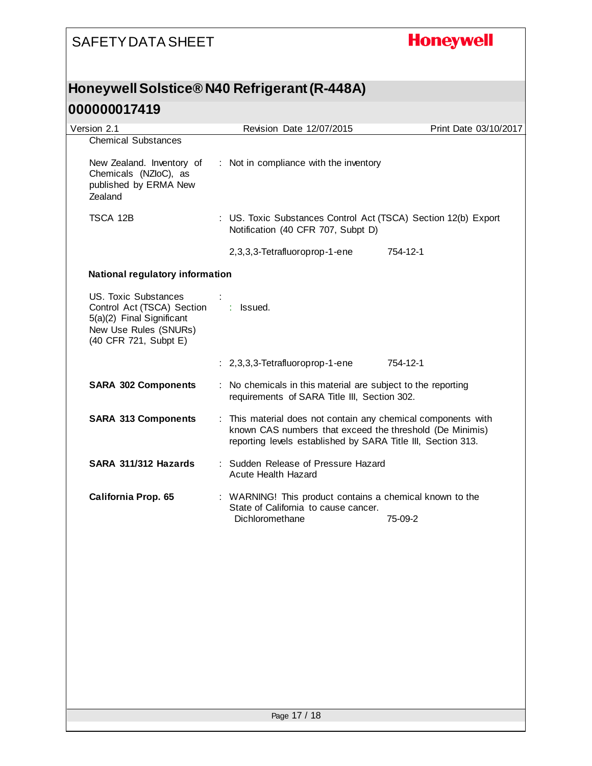### **Honeywell**

# **Honeywell Solstice® N40 Refrigerant (R-448A)**

| Version 2.1                                                                                                                              | Revision Date 12/07/2015                                                                                                                                                                  | Print Date 03/10/2017 |
|------------------------------------------------------------------------------------------------------------------------------------------|-------------------------------------------------------------------------------------------------------------------------------------------------------------------------------------------|-----------------------|
| <b>Chemical Substances</b><br>New Zealand. Inventory of<br>Chemicals (NZloC), as<br>published by ERMA New<br>Zealand                     | : Not in compliance with the inventory                                                                                                                                                    |                       |
| TSCA 12B                                                                                                                                 | : US. Toxic Substances Control Act (TSCA) Section 12(b) Export<br>Notification (40 CFR 707, Subpt D)                                                                                      |                       |
|                                                                                                                                          | 2,3,3,3-Tetrafluoroprop-1-ene                                                                                                                                                             | 754-12-1              |
| National regulatory information                                                                                                          |                                                                                                                                                                                           |                       |
| <b>US. Toxic Substances</b><br>Control Act (TSCA) Section<br>5(a)(2) Final Significant<br>New Use Rules (SNURs)<br>(40 CFR 721, Subpt E) | : Issued.                                                                                                                                                                                 |                       |
|                                                                                                                                          | : 2,3,3,3-Tetrafluoroprop-1-ene                                                                                                                                                           | 754-12-1              |
| <b>SARA 302 Components</b>                                                                                                               | : No chemicals in this material are subject to the reporting<br>requirements of SARA Title III, Section 302.                                                                              |                       |
| <b>SARA 313 Components</b>                                                                                                               | : This material does not contain any chemical components with<br>known CAS numbers that exceed the threshold (De Minimis)<br>reporting levels established by SARA Title III, Section 313. |                       |
| SARA 311/312 Hazards                                                                                                                     | : Sudden Release of Pressure Hazard<br>Acute Health Hazard                                                                                                                                |                       |
| <b>California Prop. 65</b>                                                                                                               | : WARNING! This product contains a chemical known to the<br>State of California to cause cancer.<br>Dichloromethane                                                                       | 75-09-2               |
|                                                                                                                                          |                                                                                                                                                                                           |                       |
|                                                                                                                                          |                                                                                                                                                                                           |                       |
|                                                                                                                                          |                                                                                                                                                                                           |                       |
|                                                                                                                                          |                                                                                                                                                                                           |                       |
|                                                                                                                                          |                                                                                                                                                                                           |                       |